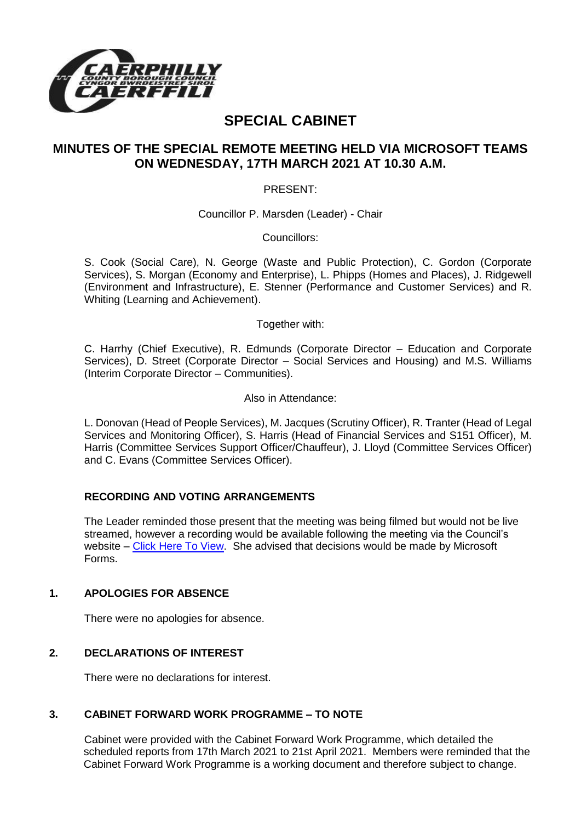

# **SPECIAL CABINET**

## **MINUTES OF THE SPECIAL REMOTE MEETING HELD VIA MICROSOFT TEAMS ON WEDNESDAY, 17TH MARCH 2021 AT 10.30 A.M.**

PRESENT:

Councillor P. Marsden (Leader) - Chair

Councillors:

S. Cook (Social Care), N. George (Waste and Public Protection), C. Gordon (Corporate Services), S. Morgan (Economy and Enterprise), L. Phipps (Homes and Places), J. Ridgewell (Environment and Infrastructure), E. Stenner (Performance and Customer Services) and R. Whiting (Learning and Achievement).

Together with:

C. Harrhy (Chief Executive), R. Edmunds (Corporate Director – Education and Corporate Services), D. Street (Corporate Director – Social Services and Housing) and M.S. Williams (Interim Corporate Director – Communities).

Also in Attendance:

L. Donovan (Head of People Services), M. Jacques (Scrutiny Officer), R. Tranter (Head of Legal Services and Monitoring Officer), S. Harris (Head of Financial Services and S151 Officer), M. Harris (Committee Services Support Officer/Chauffeur), J. Lloyd (Committee Services Officer) and C. Evans (Committee Services Officer).

#### **RECORDING AND VOTING ARRANGEMENTS**

The Leader reminded those present that the meeting was being filmed but would not be live streamed, however a recording would be available following the meeting via the Council's website – [Click Here To View.](https://www.caerphilly.gov.uk/My-Council/Meetings,-agendas,-minutes-and-reports/Council-meetings) She advised that decisions would be made by Microsoft Forms.

#### **1. APOLOGIES FOR ABSENCE**

There were no apologies for absence.

#### **2. DECLARATIONS OF INTEREST**

There were no declarations for interest.

#### **3. CABINET FORWARD WORK PROGRAMME – TO NOTE**

Cabinet were provided with the Cabinet Forward Work Programme, which detailed the scheduled reports from 17th March 2021 to 21st April 2021. Members were reminded that the Cabinet Forward Work Programme is a working document and therefore subject to change.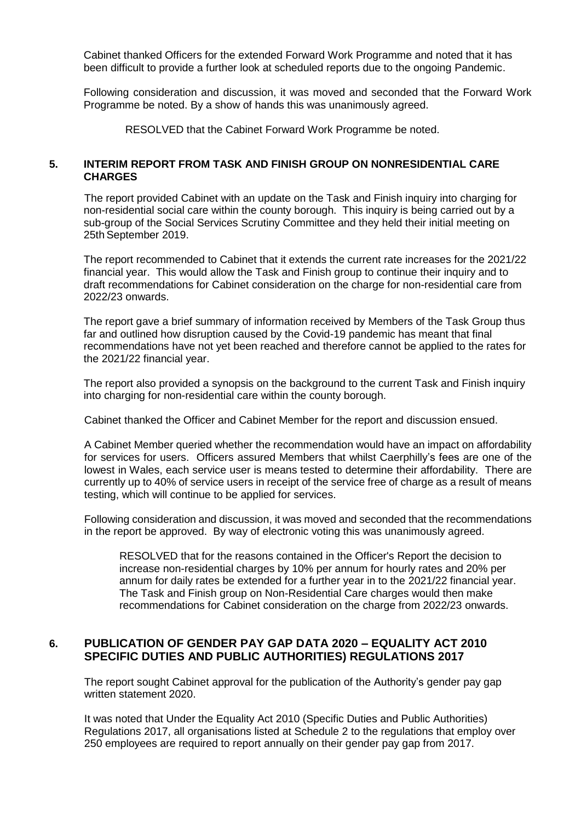Cabinet thanked Officers for the extended Forward Work Programme and noted that it has been difficult to provide a further look at scheduled reports due to the ongoing Pandemic.

Following consideration and discussion, it was moved and seconded that the Forward Work Programme be noted. By a show of hands this was unanimously agreed.

RESOLVED that the Cabinet Forward Work Programme be noted.

#### **5. INTERIM REPORT FROM TASK AND FINISH GROUP ON NONRESIDENTIAL CARE CHARGES**

The report provided Cabinet with an update on the Task and Finish inquiry into charging for non-residential social care within the county borough. This inquiry is being carried out by a sub-group of the Social Services Scrutiny Committee and they held their initial meeting on 25th September 2019.

The report recommended to Cabinet that it extends the current rate increases for the 2021/22 financial year. This would allow the Task and Finish group to continue their inquiry and to draft recommendations for Cabinet consideration on the charge for non-residential care from 2022/23 onwards.

The report gave a brief summary of information received by Members of the Task Group thus far and outlined how disruption caused by the Covid-19 pandemic has meant that final recommendations have not yet been reached and therefore cannot be applied to the rates for the 2021/22 financial year.

The report also provided a synopsis on the background to the current Task and Finish inquiry into charging for non-residential care within the county borough.

Cabinet thanked the Officer and Cabinet Member for the report and discussion ensued.

A Cabinet Member queried whether the recommendation would have an impact on affordability for services for users. Officers assured Members that whilst Caerphilly's fees are one of the lowest in Wales, each service user is means tested to determine their affordability. There are currently up to 40% of service users in receipt of the service free of charge as a result of means testing, which will continue to be applied for services.

Following consideration and discussion, it was moved and seconded that the recommendations in the report be approved. By way of electronic voting this was unanimously agreed.

RESOLVED that for the reasons contained in the Officer's Report the decision to increase non-residential charges by 10% per annum for hourly rates and 20% per annum for daily rates be extended for a further year in to the 2021/22 financial year. The Task and Finish group on Non-Residential Care charges would then make recommendations for Cabinet consideration on the charge from 2022/23 onwards.

### **6. PUBLICATION OF GENDER PAY GAP DATA 2020 – EQUALITY ACT 2010 SPECIFIC DUTIES AND PUBLIC AUTHORITIES) REGULATIONS 2017**

The report sought Cabinet approval for the publication of the Authority's gender pay gap written statement 2020.

It was noted that Under the Equality Act 2010 (Specific Duties and Public Authorities) Regulations 2017, all organisations listed at Schedule 2 to the regulations that employ over 250 employees are required to report annually on their gender pay gap from 2017.